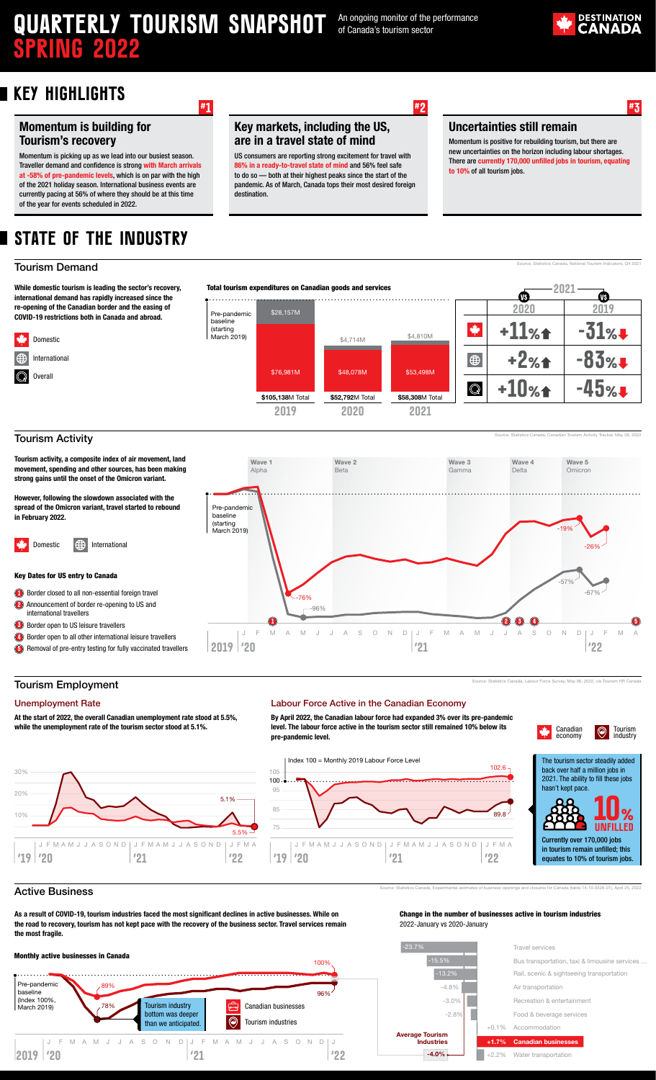# **QUARTERLY TOURISM SNAPSHOT** An ongoing monitor of the performance **Spring 2022**

of Canada's tourism sector

**#1 #2 #3**



## **Key Highlights**

### Momentum is building for Tourism's recovery

Momentum is picking up as we lead into our busiest season. Traveller demand and confidence is strong with March arrivals at -58% of pre-pandemic levels, which is on par with the high of the 2021 holiday season. International business events are currently pacing at 56% of where they should be at this time of the year for events scheduled in 2022.

## **State of the Industry**

#### Tourism Demand

Domestic International Overall

مكانة

While domestic tourism is leading the sector's recovery, international demand has rapidly increased since the re-opening of the Canadian border and the easing of COVID-19 restrictions both in Canada and abroad.



#### Tourism Activity

Tourism activity, a composite index of air movement, land movement, spending and other sources, has been making strong gains until the onset of the Omicron variant.

However, following the slowdown associated with the spread of the Omicron variant, travel started to rebound in February 2022.

Domestic **ID** International

Key Dates for US entry to Canada

**1**) Border closed to all non-essential foreign travel

2) Announcement of border re-opening to US and international travellers

**Border open to US leisure travellers** 

**4** Border open to all other international leisure travellers **5** Removal of pre-entry testing for fully vaccinated travellers

Tourism Employment

At the start of 2022, the overall Canadian unemployment rate stood at 5.5%, while the unemployment rate of the tourism sector stood at 5.1%.

Wave 2 Beta

Key markets, including the US, are in a travel state of mind

US consumers are reporting strong excitement for travel with in a ready-to-travel state of mind and 56% feel safe to do so — both at their highest peaks since the start of the pandemic. As of March, Canada tops their most desired foreign

> By April 2022, the Canadian labour force had expanded 3% over its pre-pandemic level. The labour force active in the tourism sector still remained 10% below its



Source: Statistics Canada, Labour Force Survey, May 06, 2022, via Tourism HR Canada







equates to 10% of tourism jobs.

#### Active Business

As a result of COVID-19, tourism industries faced the most significant declines in active businesses. While on the road to recovery, tourism has not kept pace with the recovery of the business sector. Travel services remain the most fragile.





#### Change in the number of businesses active in tourism industries 2022-January vs 2020-January

Source: Statistics Canada, Experimental estimates of business openings and closures for Canada (table 14-10-0326-01), April 25, 2022



#### Uncertainties still remain

Momentum is positive for rebuilding tourism, but there are new uncertainties on the horizon including labour shortages. There are currently 170,000 unfilled jobs in tourism, equation to 10% of all tourism jobs.



Wave 3 Gar

Wave 4 Delta

Wave 5 **Omicron** 

Source: Statistics Canada, Canadian Tourism Activity Tracker, May 06, 2022

Unemployment Rate Labour Force Active in the Canadian Economy

Wave 1 Alpha

destination.

pre-pandemic level.